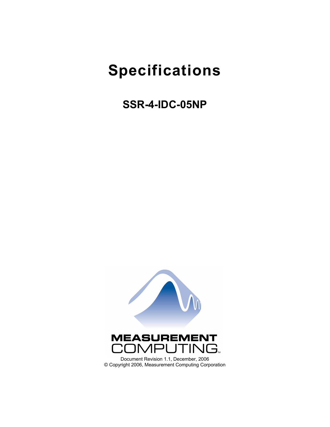# **Specifications**

**SSR-4-IDC-05NP** 

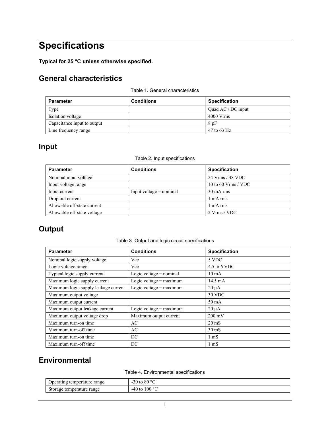## **Specifications**

**Typical for 25 °C unless otherwise specified.** 

## **General characteristics**

|  | Table 1. General characteristics |
|--|----------------------------------|
|--|----------------------------------|

| <b>Parameter</b>            | <b>Conditions</b> | <b>Specification</b> |
|-----------------------------|-------------------|----------------------|
| Type                        |                   | Quad AC / DC input   |
| Isolation voltage           |                   | $4000$ Vrms          |
| Capacitance input to output |                   | 8pF                  |
| Line frequency range        |                   | 47 to 63 Hz          |

## **Input**

#### Table 2. Input specifications

| <b>Parameter</b>            | <b>Conditions</b>         | <b>Specification</b> |
|-----------------------------|---------------------------|----------------------|
| Nominal input voltage       |                           | 24 Vrms / 48 VDC     |
| Input voltage range         |                           | 10 to 60 Vrms / VDC  |
| Input current               | Input voltage $=$ nominal | $30 \text{ mA}$ rms  |
| Drop out current            |                           | 1 mA rms             |
| Allowable off-state current |                           | 1 mA rms             |
| Allowable off-state voltage |                           | 2 Vrms / VDC         |

## **Output**

Table 3. Output and logic circuit specifications

| <b>Parameter</b>                     | <b>Conditions</b>         | <b>Specification</b> |
|--------------------------------------|---------------------------|----------------------|
| Nominal logic supply voltage         | Vcc                       | 5 VDC                |
| Logic voltage range                  | Vcc                       | 4.5 to 6 VDC         |
| Typical logic supply current         | Logic voltage $=$ nominal | $10 \text{ mA}$      |
| Maximum logic supply current         | Logic voltage = $maximum$ | 14.5 mA              |
| Maximum logic supply leakage current | Logic voltage = $maximum$ | $20 \mu A$           |
| Maximum output voltage               |                           | 30 VDC               |
| Maximum output current               |                           | 50 mA                |
| Maximum output leakage current       | Logic voltage $=$ maximum | $20 \mu A$           |
| Maximum output voltage drop          | Maximum output current    | $200 \text{ mV}$     |
| Maximum turn-on time                 | AC                        | $20 \text{ mS}$      |
| Maximum turn-off time                | AC                        | $30 \text{ mS}$      |
| Maximum turn-on time                 | DC                        | $1 \text{ mS}$       |
| Maximum turn-off time                | DC                        | $1 \text{ mS}$       |

### **Environmental**

Table 4. Environmental specifications

| Operating temperature range | -30 to 80 $\degree$ C |
|-----------------------------|-----------------------|
| Storage temperature range   | $-40$ to $100$ °C     |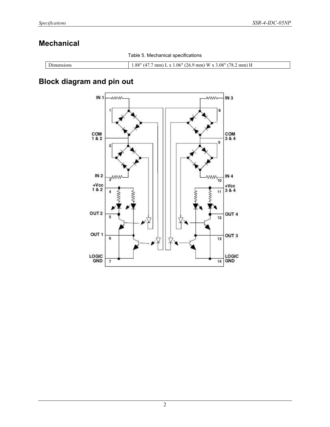## **Mechanical**

Table 5. Mechanical specifications

| $\sim$<br>-sion»<br>чи. | .08"<br>.<br>) ດ ແ<br>$\mathbf{w}$<br>78.<br>06"<br>.26.9<br>$(4)$ .<br>mm<br>mm<br>mm)<br>$\mathbf{v}$<br>$\mathbf{v}$<br>ം വ<br>, |
|-------------------------|-------------------------------------------------------------------------------------------------------------------------------------|

## **Block diagram and pin out**